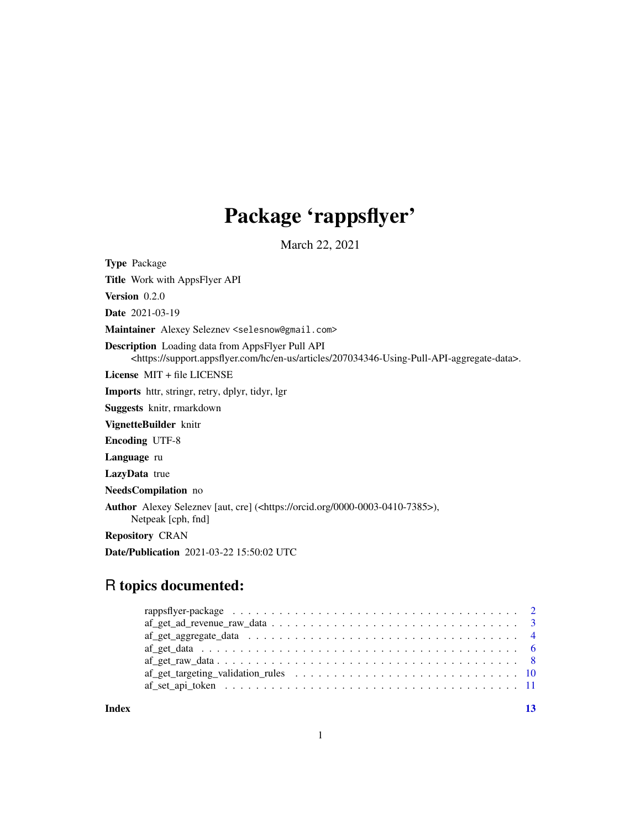# Package 'rappsflyer'

March 22, 2021

Type Package

Title Work with AppsFlyer API

Version 0.2.0

Date 2021-03-19

Maintainer Alexey Seleznev <selesnow@gmail.com>

Description Loading data from AppsFlyer Pull API <https://support.appsflyer.com/hc/en-us/articles/207034346-Using-Pull-API-aggregate-data>.

License MIT + file LICENSE

Imports httr, stringr, retry, dplyr, tidyr, lgr

Suggests knitr, rmarkdown

VignetteBuilder knitr

Encoding UTF-8

Language ru

LazyData true

NeedsCompilation no

Author Alexey Seleznev [aut, cre] (<https://orcid.org/0000-0003-0410-7385>), Netpeak [cph, fnd]

Repository CRAN

Date/Publication 2021-03-22 15:50:02 UTC

# R topics documented:

**Index** [13](#page-12-0)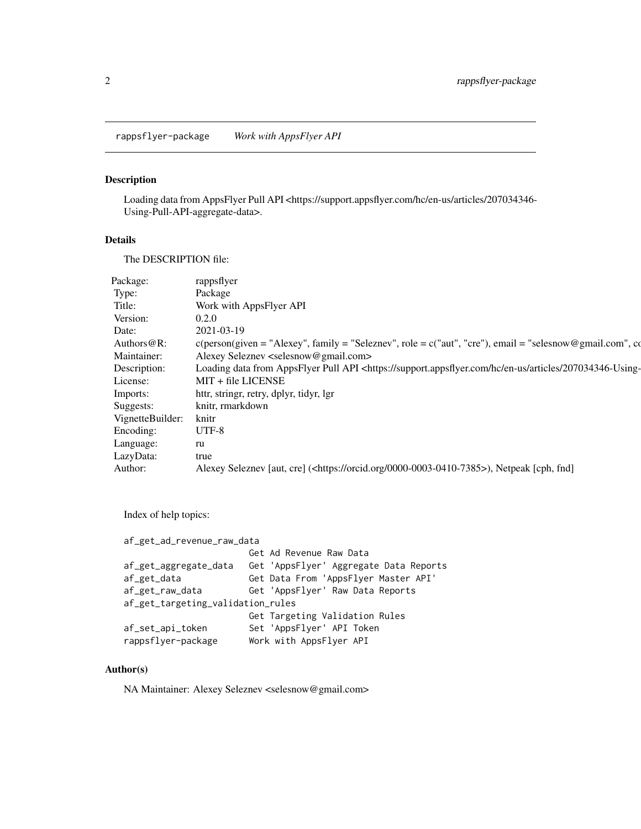<span id="page-1-0"></span>rappsflyer-package *Work with AppsFlyer API*

#### Description

Loading data from AppsFlyer Pull API <https://support.appsflyer.com/hc/en-us/articles/207034346- Using-Pull-API-aggregate-data>.

#### Details

The DESCRIPTION file:

| Package:         | rappsflyer                                                                                                                                            |
|------------------|-------------------------------------------------------------------------------------------------------------------------------------------------------|
| Type:            | Package                                                                                                                                               |
| Title:           | Work with AppsFlyer API                                                                                                                               |
| Version:         | 0.2.0                                                                                                                                                 |
| Date:            | 2021-03-19                                                                                                                                            |
| Authors@R:       | $c(\text{person}(\text{given} = "Alexey", \text{family} = "Seleznev", \text{role} = c("aut", "cre"), \text{email} = "selesnow @gmail.com", \text{cc}$ |
| Maintainer:      | Alexey Seleznev <selesnow@gmail.com></selesnow@gmail.com>                                                                                             |
| Description:     | Loading data from AppsFlyer Pull API <https: 207034346-using-<="" articles="" en-us="" hc="" support.appsflyer.com="" td=""></https:>                 |
| License:         | MIT + file LICENSE                                                                                                                                    |
| Imports:         | httr, stringr, retry, dplyr, tidyr, lgr                                                                                                               |
| Suggests:        | knitr, rmarkdown                                                                                                                                      |
| VignetteBuilder: | knitr                                                                                                                                                 |
| Encoding:        | UTF-8                                                                                                                                                 |
| Language:        | ru                                                                                                                                                    |
| LazyData:        | true                                                                                                                                                  |
| Author:          | Alexey Seleznev [aut, cre] ( <https: 0000-0003-0410-7385="" orcid.org="">), Netpeak [cph, fnd]</https:>                                               |
|                  |                                                                                                                                                       |

Index of help topics:

```
af_get_ad_revenue_raw_data
                         Get Ad Revenue Raw Data
af_get_aggregate_data Get 'AppsFlyer' Aggregate Data Reports
af_get_data Get Data From 'AppsFlyer Master API'
                        Get 'AppsFlyer' Raw Data Reports
af_get_targeting_validation_rules
                        Get Targeting Validation Rules
af_set_api_token Set 'AppsFlyer' API Token<br>rappsflyer-package Work with AppsFlyer API
                       Work with AppsFlyer API
```
#### Author(s)

NA Maintainer: Alexey Seleznev <selesnow@gmail.com>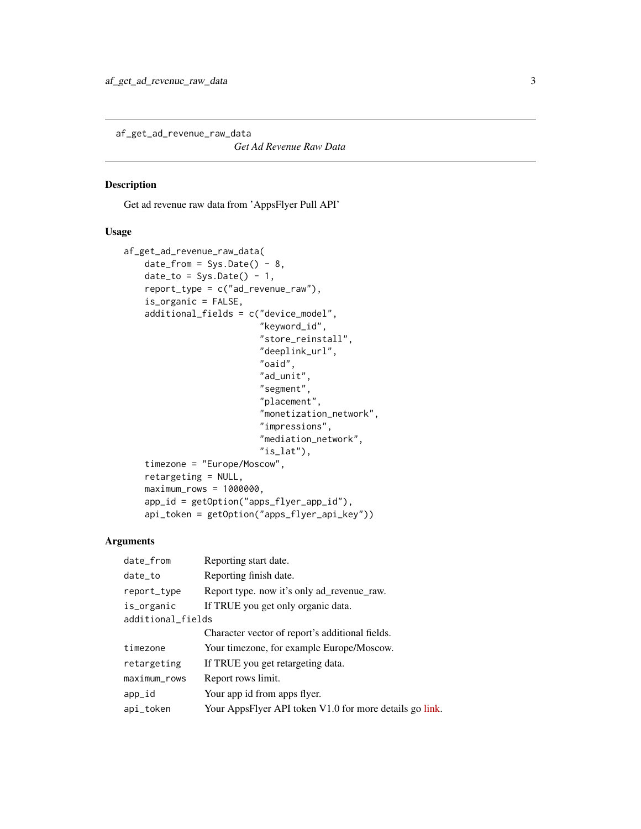<span id="page-2-0"></span>af\_get\_ad\_revenue\_raw\_data

*Get Ad Revenue Raw Data*

### Description

Get ad revenue raw data from 'AppsFlyer Pull API'

# Usage

```
af_get_ad_revenue_raw_data(
   date\_from = Sys.Date() - 8,date_to = Sys.DataFrame() - 1,report_type = c("ad_revenue_raw"),
    is_organic = FALSE,
    additional_fields = c("device_model",
                           "keyword_id",
                           "store_reinstall",
                           "deeplink_url",
                           "oaid",
                           "ad_unit",
                           "segment",
                           "placement",
                           "monetization_network",
                           "impressions",
                           "mediation_network",
                           "is_lat"),
    timezone = "Europe/Moscow",
    retargeting = NULL,
    maximum_{rows} = 1000000,app_id = getOption("apps_flyer_app_id"),
    api_token = getOption("apps_flyer_api_key"))
```
### Arguments

| date_from         | Reporting start date.                                   |  |
|-------------------|---------------------------------------------------------|--|
| date_to           | Reporting finish date.                                  |  |
| report_type       | Report type. now it's only ad_revenue_raw.              |  |
| is_organic        | If TRUE you get only organic data.                      |  |
| additional_fields |                                                         |  |
|                   | Character vector of report's additional fields.         |  |
| timezone          | Your timezone, for example Europe/Moscow.               |  |
| retargeting       | If TRUE you get retargeting data.                       |  |
| maximum_rows      | Report rows limit.                                      |  |
| app_id            | Your app id from apps flyer.                            |  |
| api_token         | Your AppsFlyer API token V1.0 for more details go link. |  |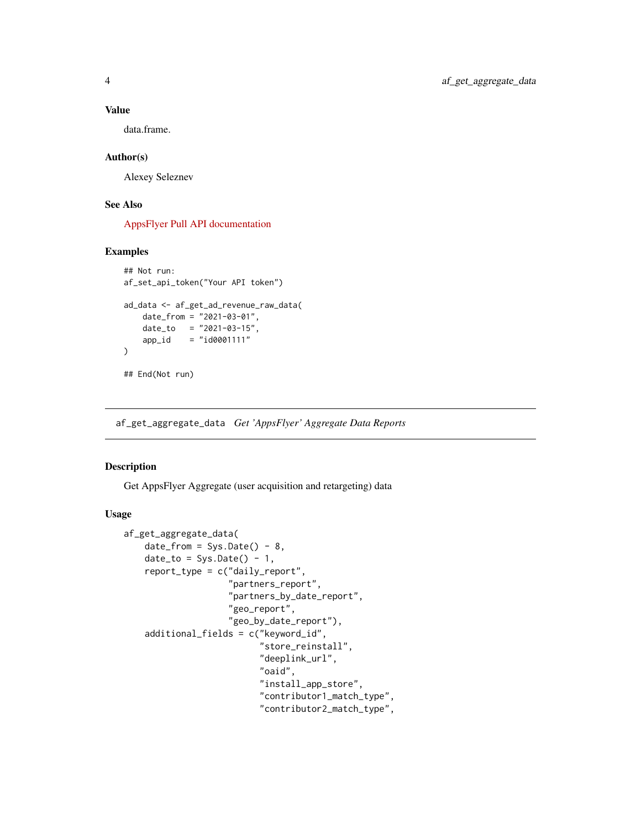#### Value

data.frame.

#### Author(s)

Alexey Seleznev

#### See Also

[AppsFlyer Pull API documentation](https://support.appsflyer.com/hc/en-us/articles/207034346-Pull-APIs-Pulling-AppsFlyer-Reports-by-APIs)

#### Examples

```
## Not run:
af_set_api_token("Your API token")
ad_data <- af_get_ad_revenue_raw_data(
   date_from = "2021-03-01",
   date_to = "2021-03-15",app_id = "id0001111"\mathcal{L}## End(Not run)
```
af\_get\_aggregate\_data *Get 'AppsFlyer' Aggregate Data Reports*

#### Description

Get AppsFlyer Aggregate (user acquisition and retargeting) data

#### Usage

```
af_get_aggregate_data(
    date\_from = Sys.Date() - 8,date_to = Sys.DataFrame() - 1,report_type = c("daily_report",
                    "partners_report",
                    "partners_by_date_report",
                    "geo_report",
                     "geo_by_date_report"),
    additional_fields = c("keyword_id",
                           "store_reinstall",
                           "deeplink_url",
                           "oaid",
                           "install_app_store",
                           "contributor1_match_type",
                           "contributor2_match_type",
```
<span id="page-3-0"></span>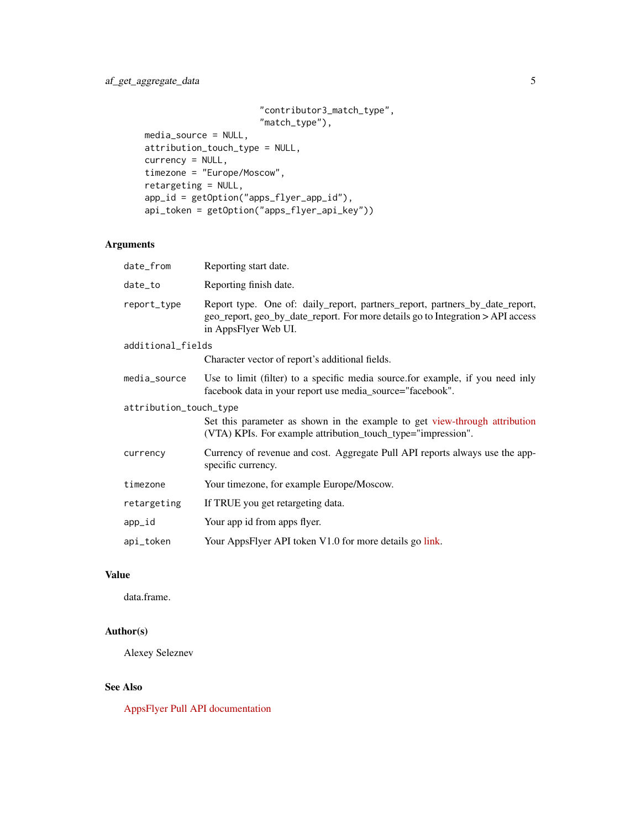```
"contributor3_match_type",
                      "match_type"),
media_source = NULL,
attribution_touch_type = NULL,
currency = NULL,
timezone = "Europe/Moscow",
retargeting = NULL,
app_id = getOption("apps_flyer_app_id"),
api_token = getOption("apps_flyer_api_key"))
```
# Arguments

| date_from              | Reporting start date.                                                                                                                                                                   |  |
|------------------------|-----------------------------------------------------------------------------------------------------------------------------------------------------------------------------------------|--|
| date_to                | Reporting finish date.                                                                                                                                                                  |  |
| report_type            | Report type. One of: daily_report, partners_report, partners_by_date_report,<br>geo_report, geo_by_date_report. For more details go to Integration > API access<br>in AppsFlyer Web UI. |  |
| additional_fields      |                                                                                                                                                                                         |  |
|                        | Character vector of report's additional fields.                                                                                                                                         |  |
| media_source           | Use to limit (filter) to a specific media source for example, if you need inly<br>facebook data in your report use media_source="facebook".                                             |  |
| attribution_touch_type |                                                                                                                                                                                         |  |
|                        | Set this parameter as shown in the example to get view-through attribution<br>(VTA) KPIs. For example attribution_touch_type="impression".                                              |  |
| currency               | Currency of revenue and cost. Aggregate Pull API reports always use the app-<br>specific currency.                                                                                      |  |
| timezone               | Your timezone, for example Europe/Moscow.                                                                                                                                               |  |
| retargeting            | If TRUE you get retargeting data.                                                                                                                                                       |  |
| app_id                 | Your app id from apps flyer.                                                                                                                                                            |  |
| api_token              | Your AppsFlyer API token V1.0 for more details go link.                                                                                                                                 |  |
|                        |                                                                                                                                                                                         |  |

# Value

data.frame.

### Author(s)

Alexey Seleznev

# See Also

[AppsFlyer Pull API documentation](https://support.appsflyer.com/hc/en-us/articles/207034346-Pull-APIs-Pulling-AppsFlyer-Reports-by-APIs)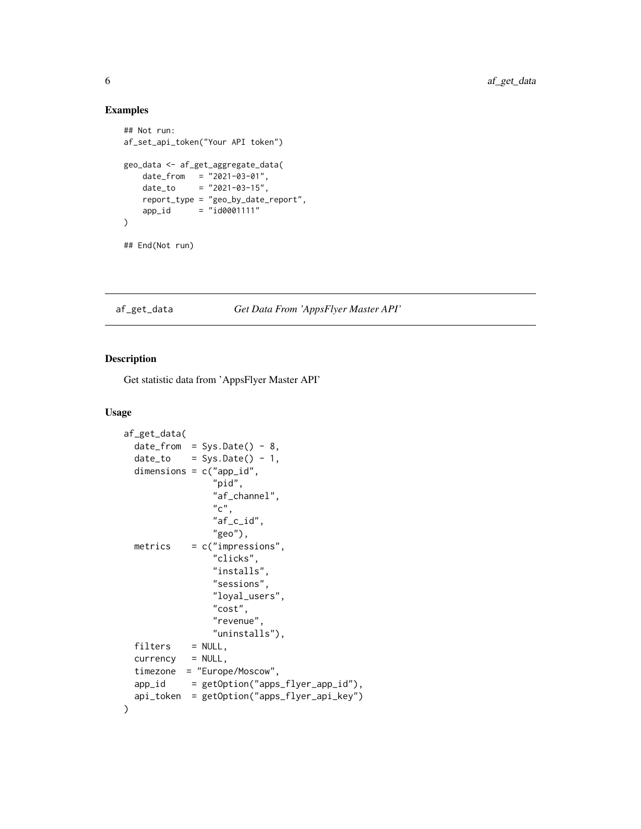#### Examples

```
## Not run:
af_set_api_token("Your API token")
geo_data <- af_get_aggregate_data(
    date_from = "2021-03-01",
    date_to = "2021-03-15",
   report_type = "geo_by_date_report",
   app_id = "id0001111")
## End(Not run)
```
#### af\_get\_data *Get Data From 'AppsFlyer Master API'*

#### Description

Get statistic data from 'AppsFlyer Master API'

#### Usage

```
af_get_data(
  date\_from = Sys.DataFrame() - 8,date_to = Sys.DataFrame() - 1,dimensions = c("app_id",
                  "pid",
                 "af_channel",
                  "c",
                 "af_c_id",
                 "geo"),
  metrics = c("impressions",
                  "clicks",
                 "installs",
                 "sessions",
                 "loyal_users",
                 "cost",
                 "revenue",
                 "uninstalls"),
  filters = NULL,
  currency = NULL,timezone = "Europe/Moscow",
  app_id = getOption("apps_flyer_app_id"),
  api_token = getOption("apps_flyer_api_key")
\mathcal{E}
```
<span id="page-5-0"></span>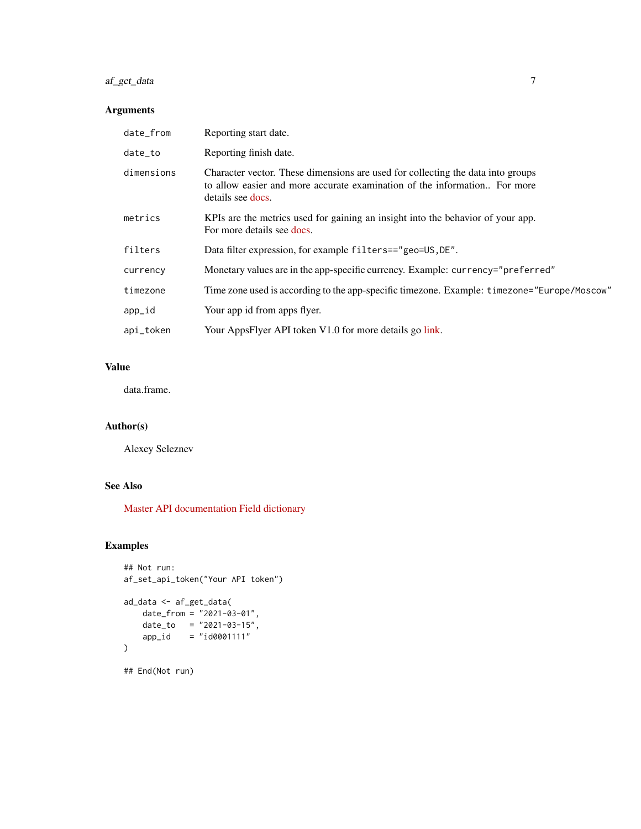# af\_get\_data 7

# Arguments

| date_from  | Reporting start date.                                                                                                                                                              |
|------------|------------------------------------------------------------------------------------------------------------------------------------------------------------------------------------|
| date_to    | Reporting finish date.                                                                                                                                                             |
| dimensions | Character vector. These dimensions are used for collecting the data into groups<br>to allow easier and more accurate examination of the information. For more<br>details see docs. |
| metrics    | KPIs are the metrics used for gaining an insight into the behavior of your app.<br>For more details see docs.                                                                      |
| filters    | Data filter expression, for example filters=="geo=US, DE".                                                                                                                         |
| currency   | Monetary values are in the app-specific currency. Example: currency="preferred"                                                                                                    |
| timezone   | Time zone used is according to the app-specific timezone. Example: timezone="Europe/Moscow"                                                                                        |
| app_id     | Your app id from apps flyer.                                                                                                                                                       |
| api_token  | Your AppsFlyer API token V1.0 for more details go link.                                                                                                                            |

### Value

data.frame.

# Author(s)

Alexey Seleznev

# See Also

[Master API documentation](https://support.appsflyer.com/hc/en-us/articles/213223166-Master-API-user-acquisition-metrics-via-API) [Field dictionary](https://support.appsflyer.com/hc/ru/articles/208387843)

### Examples

```
## Not run:
af_set_api_token("Your API token")
ad_data <- af_get_data(
    date_from = "2021-03-01",
    date_to = "2021-03-15",
    app_id = "id0001111"
)
## End(Not run)
```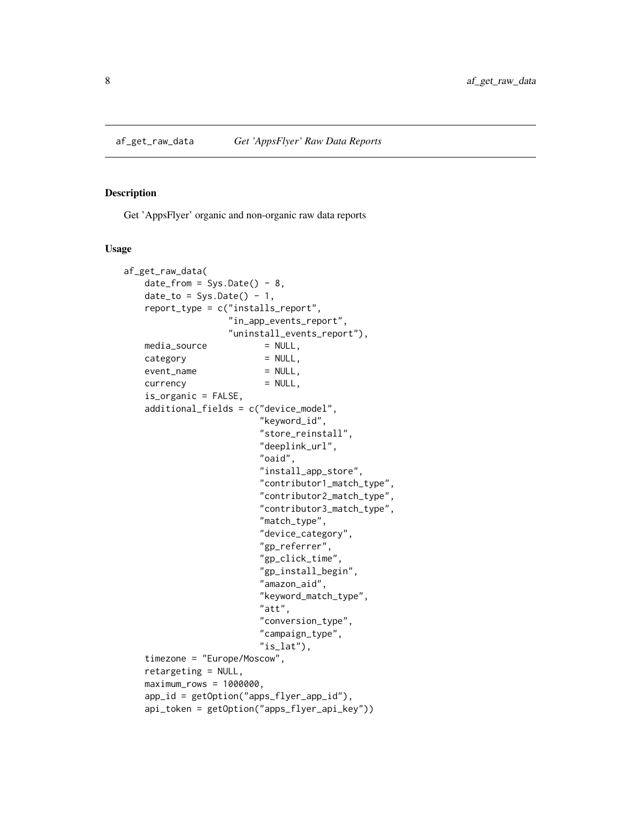<span id="page-7-0"></span>

#### Description

Get 'AppsFlyer' organic and non-organic raw data reports

#### Usage

```
af_get_raw_data(
   date\_from = Sys.Date() - 8,date_to = Sys.DataFrame() - 1,report_type = c("installs_report",
                   "in_app_events_report",
                   "uninstall_events_report"),
   media_source = NULL,
   category = NULL,
   event_name = NULL,
   currency = NULL,
   is_organic = FALSE,
   additional_fields = c("device_model",
                         "keyword_id",
                         "store_reinstall",
                         "deeplink_url",
                         "oaid",
                         "install_app_store",
                         "contributor1_match_type",
                         "contributor2_match_type",
                         "contributor3_match_type",
                         "match_type",
                         "device_category",
                         "gp_referrer",
                         "gp_click_time",
                         "gp_install_begin",
                         "amazon_aid",
                         "keyword_match_type",
                         "att",
                         "conversion_type",
                         "campaign_type",
                         "is_lat"),
   timezone = "Europe/Moscow",
   retargeting = NULL,
   maximum_{rows} = 1000000,app_id = getOption("apps_flyer_app_id"),
   api_token = getOption("apps_flyer_api_key"))
```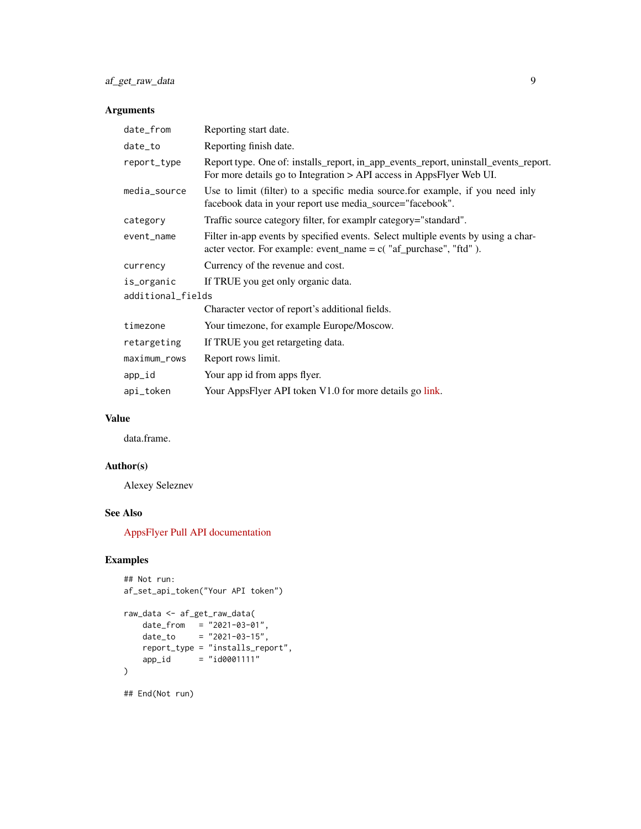# Arguments

| date_from         | Reporting start date.                                                                                                                                         |  |
|-------------------|---------------------------------------------------------------------------------------------------------------------------------------------------------------|--|
| date_to           | Reporting finish date.                                                                                                                                        |  |
| report_type       | Report type. One of: installs_report, in_app_events_report, uninstall_events_report.<br>For more details go to Integration > API access in AppsFlyer Web UI.  |  |
| media_source      | Use to limit (filter) to a specific media source for example, if you need inly<br>facebook data in your report use media_source="facebook".                   |  |
| category          | Traffic source category filter, for examplr category="standard".                                                                                              |  |
| event_name        | Filter in-app events by specified events. Select multiple events by using a char-<br>acter vector. For example: event_name = $c$ ( $"af\_purchase", "ftd"$ ). |  |
| currency          | Currency of the revenue and cost.                                                                                                                             |  |
| is_organic        | If TRUE you get only organic data.                                                                                                                            |  |
| additional_fields |                                                                                                                                                               |  |
|                   | Character vector of report's additional fields.                                                                                                               |  |
| timezone          | Your timezone, for example Europe/Moscow.                                                                                                                     |  |
| retargeting       | If TRUE you get retargeting data.                                                                                                                             |  |
| maximum_rows      | Report rows limit.                                                                                                                                            |  |
| app_id            | Your app id from apps flyer.                                                                                                                                  |  |
| api_token         | Your AppsFlyer API token V1.0 for more details go link.                                                                                                       |  |

# Value

data.frame.

# Author(s)

Alexey Seleznev

# See Also

[AppsFlyer Pull API documentation](https://support.appsflyer.com/hc/en-us/articles/207034346-Pull-APIs-Pulling-AppsFlyer-Reports-by-APIs)

# Examples

```
## Not run:
af_set_api_token("Your API token")
raw_data <- af_get_raw_data(
    date_from = "2021-03-01",
    date_to = "2021-03-15",
   report_type = "installs_report",
   app_id = "id0001111")
## End(Not run)
```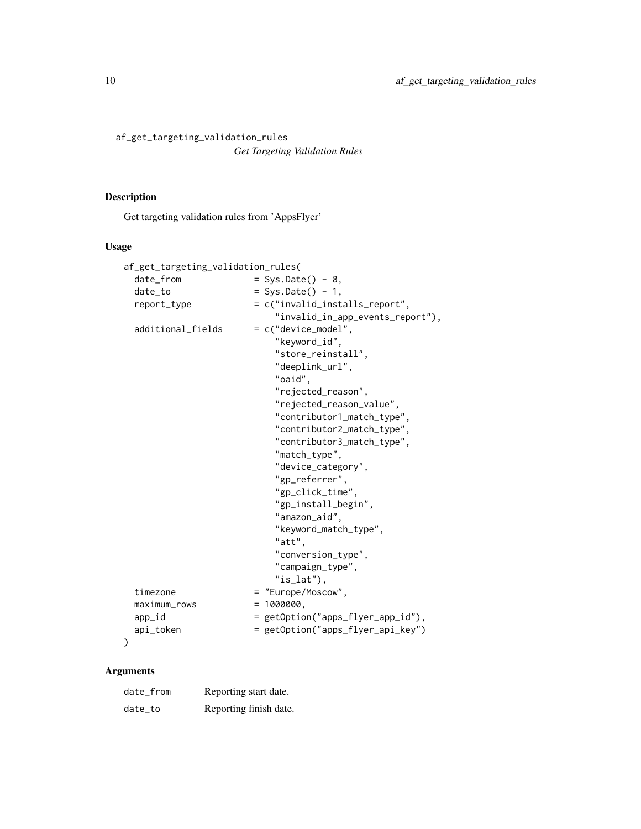<span id="page-9-0"></span>af\_get\_targeting\_validation\_rules

*Get Targeting Validation Rules*

### Description

Get targeting validation rules from 'AppsFlyer'

#### Usage

```
af_get_targeting_validation_rules(
 date\_from = Sys.Date() - 8,
 date_to = Sys.Date() - 1,
 report_type = c("invalid_installs_report",
                          "invalid_in_app_events_report"),
 additional_fields = c("device_model",
                          "keyword_id",
                          "store_reinstall",
                          "deeplink_url",
                          "oaid",
                          "rejected_reason",
                          "rejected_reason_value",
                          "contributor1_match_type",
                          "contributor2_match_type",
                          "contributor3_match_type",
                          "match_type",
                          "device_category",
                          "gp_referrer",
                          "gp_click_time",
                          "gp_install_begin",
                          "amazon_aid",
                          "keyword_match_type",
                          "att",
                          "conversion_type",
                          "campaign_type",
                          "is_lat"),
 timezone = "Europe/Moscow",
 maximum_{rows} = 1000000,
 app_id = getOption("apps_flyer_app_id"),
 api_token = getOption("apps_flyer_api_key")
)
```
# Arguments

| date_from | Reporting start date.  |
|-----------|------------------------|
| date_to   | Reporting finish date. |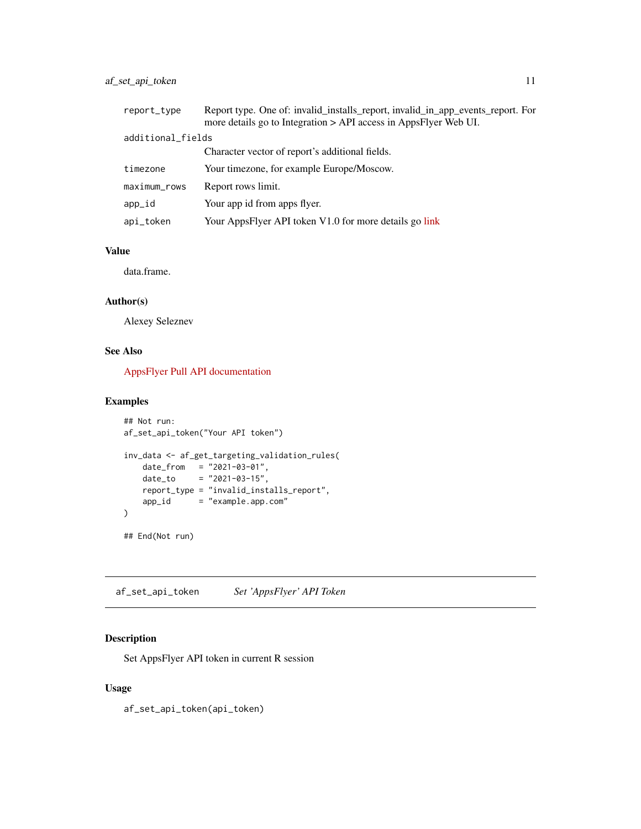### <span id="page-10-0"></span>af\_set\_api\_token 11

| report_type       | Report type. One of: invalid_installs_report, invalid_in_app_events_report. For<br>more details go to Integration > API access in AppsFlyer Web UI. |  |
|-------------------|-----------------------------------------------------------------------------------------------------------------------------------------------------|--|
| additional_fields |                                                                                                                                                     |  |
|                   | Character vector of report's additional fields.                                                                                                     |  |
| timezone          | Your timezone, for example Europe/Moscow.                                                                                                           |  |
| maximum_rows      | Report rows limit.                                                                                                                                  |  |
| app_id            | Your app id from apps flyer.                                                                                                                        |  |
| api_token         | Your AppsFlyer API token V1.0 for more details go link                                                                                              |  |

#### Value

data.frame.

#### Author(s)

Alexey Seleznev

# See Also

[AppsFlyer Pull API documentation](https://support.appsflyer.com/hc/en-us/articles/207034346-Pull-APIs-Pulling-AppsFlyer-Reports-by-APIs)

### Examples

```
## Not run:
af_set_api_token("Your API token")
inv_data <- af_get_targeting_validation_rules(
   date_from = "2021-03-01",date_to = "2021-03-15",report_type = "invalid_installs_report",
   app_id = "example.append.com"
\mathcal{L}## End(Not run)
```
af\_set\_api\_token *Set 'AppsFlyer' API Token*

### Description

Set AppsFlyer API token in current R session

#### Usage

af\_set\_api\_token(api\_token)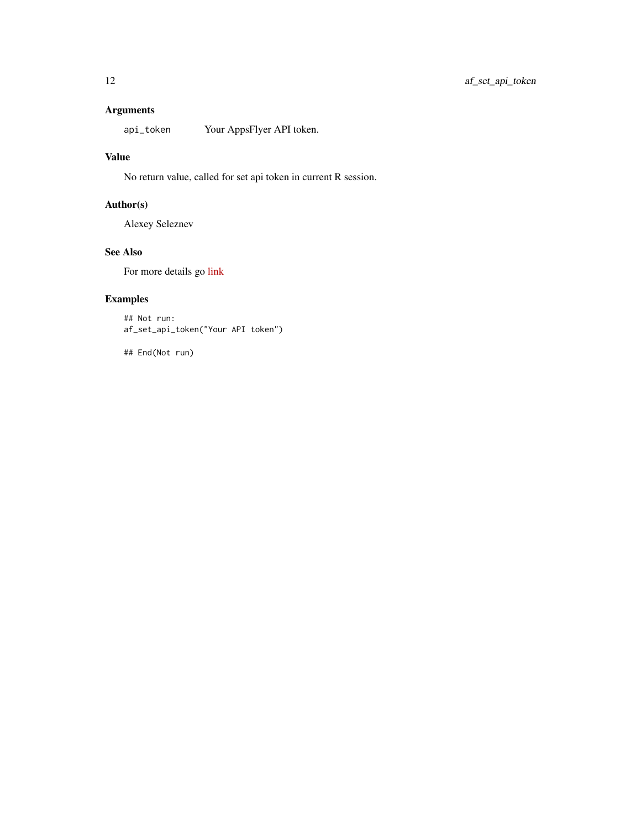# Arguments

api\_token Your AppsFlyer API token.

#### Value

No return value, called for set api token in current R session.

# Author(s)

Alexey Seleznev

#### See Also

For more details go [link](https://support.appsflyer.com/hc/en-us/articles/360004562377)

# Examples

## Not run: af\_set\_api\_token("Your API token")

## End(Not run)